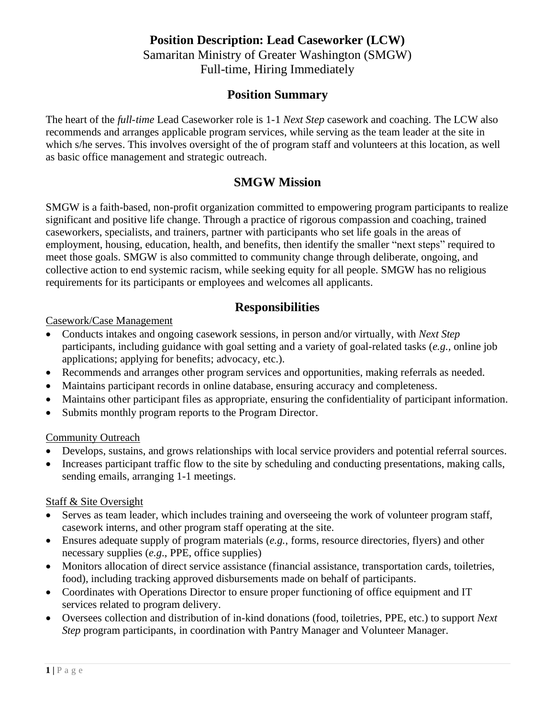# **Position Description: Lead Caseworker (LCW)**

Samaritan Ministry of Greater Washington (SMGW) Full-time, Hiring Immediately

### **Position Summary**

The heart of the *full-time* Lead Caseworker role is 1-1 *Next Step* casework and coaching. The LCW also recommends and arranges applicable program services, while serving as the team leader at the site in which s/he serves. This involves oversight of the of program staff and volunteers at this location, as well as basic office management and strategic outreach.

### **SMGW Mission**

SMGW is a faith-based, non-profit organization committed to empowering program participants to realize significant and positive life change. Through a practice of rigorous compassion and coaching, trained caseworkers, specialists, and trainers, partner with participants who set life goals in the areas of employment, housing, education, health, and benefits, then identify the smaller "next steps" required to meet those goals. SMGW is also committed to community change through deliberate, ongoing, and collective action to end systemic racism, while seeking equity for all people. SMGW has no religious requirements for its participants or employees and welcomes all applicants.

### **Responsibilities**

#### Casework/Case Management

- Conducts intakes and ongoing casework sessions, in person and/or virtually, with *Next Step*  participants, including guidance with goal setting and a variety of goal-related tasks (*e.g.,* online job applications; applying for benefits; advocacy, etc.).
- Recommends and arranges other program services and opportunities, making referrals as needed.
- Maintains participant records in online database, ensuring accuracy and completeness.
- Maintains other participant files as appropriate, ensuring the confidentiality of participant information.
- Submits monthly program reports to the Program Director.

#### Community Outreach

- Develops, sustains, and grows relationships with local service providers and potential referral sources.
- Increases participant traffic flow to the site by scheduling and conducting presentations, making calls, sending emails, arranging 1-1 meetings.

#### Staff & Site Oversight

- Serves as team leader, which includes training and overseeing the work of volunteer program staff, casework interns, and other program staff operating at the site.
- Ensures adequate supply of program materials (*e.g.*, forms, resource directories, flyers) and other necessary supplies (*e.g*., PPE, office supplies)
- Monitors allocation of direct service assistance (financial assistance, transportation cards, toiletries, food), including tracking approved disbursements made on behalf of participants.
- Coordinates with Operations Director to ensure proper functioning of office equipment and IT services related to program delivery.
- Oversees collection and distribution of in-kind donations (food, toiletries, PPE, etc.) to support *Next Step* program participants, in coordination with Pantry Manager and Volunteer Manager.